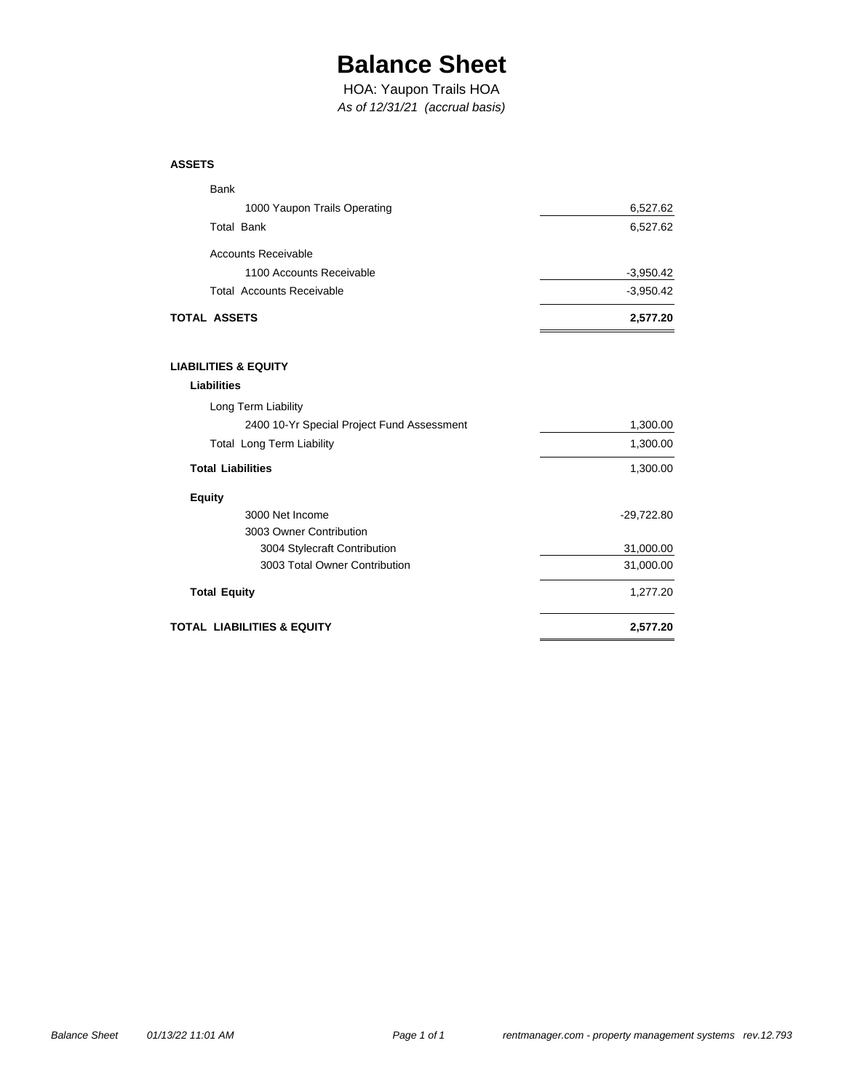## **Balance Sheet**

*As of 12/31/21 (accrual basis)* HOA: Yaupon Trails HOA

#### **ASSETS**

| TOTAL ASSETS                     | 2,577.20    |
|----------------------------------|-------------|
| <b>Total Accounts Receivable</b> | $-3,950.42$ |
| 1100 Accounts Receivable         | $-3,950.42$ |
| Accounts Receivable              |             |
| <b>Total Bank</b>                | 6,527.62    |
| 1000 Yaupon Trails Operating     | 6,527.62    |
| <b>Bank</b>                      |             |

### **LIABILITIES & EQUITY**

| Liabilities                                |            |
|--------------------------------------------|------------|
| Long Term Liability                        |            |
| 2400 10-Yr Special Project Fund Assessment | 1,300.00   |
| <b>Total Long Term Liability</b>           | 1,300.00   |
| <b>Total Liabilities</b>                   | 1,300.00   |
| <b>Equity</b>                              |            |
| 3000 Net Income                            | -29,722.80 |
| 3003 Owner Contribution                    |            |
| 3004 Stylecraft Contribution               | 31,000.00  |
| 3003 Total Owner Contribution              | 31,000.00  |
| <b>Total Equity</b>                        | 1,277.20   |
| TOTAL  LIABILITIES & EQUITY                | 2.577.20   |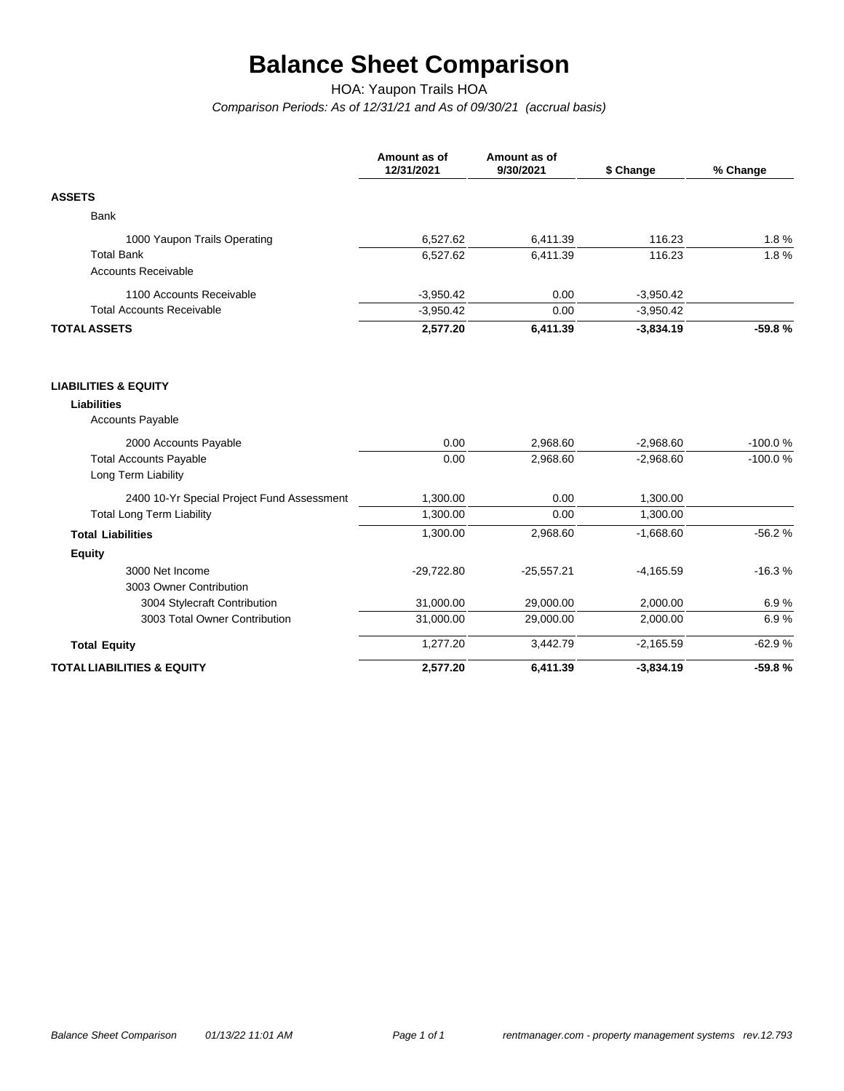# **Balance Sheet Comparison**

HOA: Yaupon Trails HOA

*Comparison Periods: As of 12/31/21 and As of 09/30/21 (accrual basis)*

|                                            | Amount as of<br>12/31/2021 | Amount as of<br>9/30/2021 | \$ Change   | % Change  |
|--------------------------------------------|----------------------------|---------------------------|-------------|-----------|
| <b>ASSETS</b>                              |                            |                           |             |           |
| <b>Bank</b>                                |                            |                           |             |           |
| 1000 Yaupon Trails Operating               | 6,527.62                   | 6,411.39                  | 116.23      | 1.8%      |
| <b>Total Bank</b>                          | 6,527.62                   | 6,411.39                  | 116.23      | 1.8%      |
| <b>Accounts Receivable</b>                 |                            |                           |             |           |
| 1100 Accounts Receivable                   | $-3,950.42$                | 0.00                      | $-3,950.42$ |           |
| <b>Total Accounts Receivable</b>           | $-3,950.42$                | 0.00                      | $-3,950.42$ |           |
| <b>TOTAL ASSETS</b>                        | 2,577.20                   | 6,411.39                  | $-3,834.19$ | $-59.8%$  |
| <b>LIABILITIES &amp; EQUITY</b>            |                            |                           |             |           |
| <b>Liabilities</b>                         |                            |                           |             |           |
| <b>Accounts Payable</b>                    |                            |                           |             |           |
| 2000 Accounts Payable                      | 0.00                       | 2,968.60                  | $-2,968.60$ | $-100.0%$ |
| <b>Total Accounts Payable</b>              | 0.00                       | 2,968.60                  | $-2,968.60$ | $-100.0%$ |
| Long Term Liability                        |                            |                           |             |           |
| 2400 10-Yr Special Project Fund Assessment | 1,300.00                   | 0.00                      | 1,300.00    |           |
| <b>Total Long Term Liability</b>           | 1,300.00                   | 0.00                      | 1,300.00    |           |
| <b>Total Liabilities</b>                   | 1,300.00                   | 2,968.60                  | $-1,668.60$ | $-56.2%$  |
| <b>Equity</b>                              |                            |                           |             |           |
| 3000 Net Income                            | $-29,722.80$               | $-25,557.21$              | $-4,165.59$ | $-16.3%$  |
| 3003 Owner Contribution                    |                            |                           |             |           |
| 3004 Stylecraft Contribution               | 31,000.00                  | 29,000.00                 | 2,000.00    | 6.9%      |
| 3003 Total Owner Contribution              | 31,000.00                  | 29,000.00                 | 2,000.00    | 6.9%      |
| <b>Total Equity</b>                        | 1,277.20                   | 3,442.79                  | $-2,165.59$ | $-62.9%$  |
| <b>TOTAL LIABILITIES &amp; EQUITY</b>      | 2,577.20                   | 6,411.39                  | $-3,834.19$ | $-59.8%$  |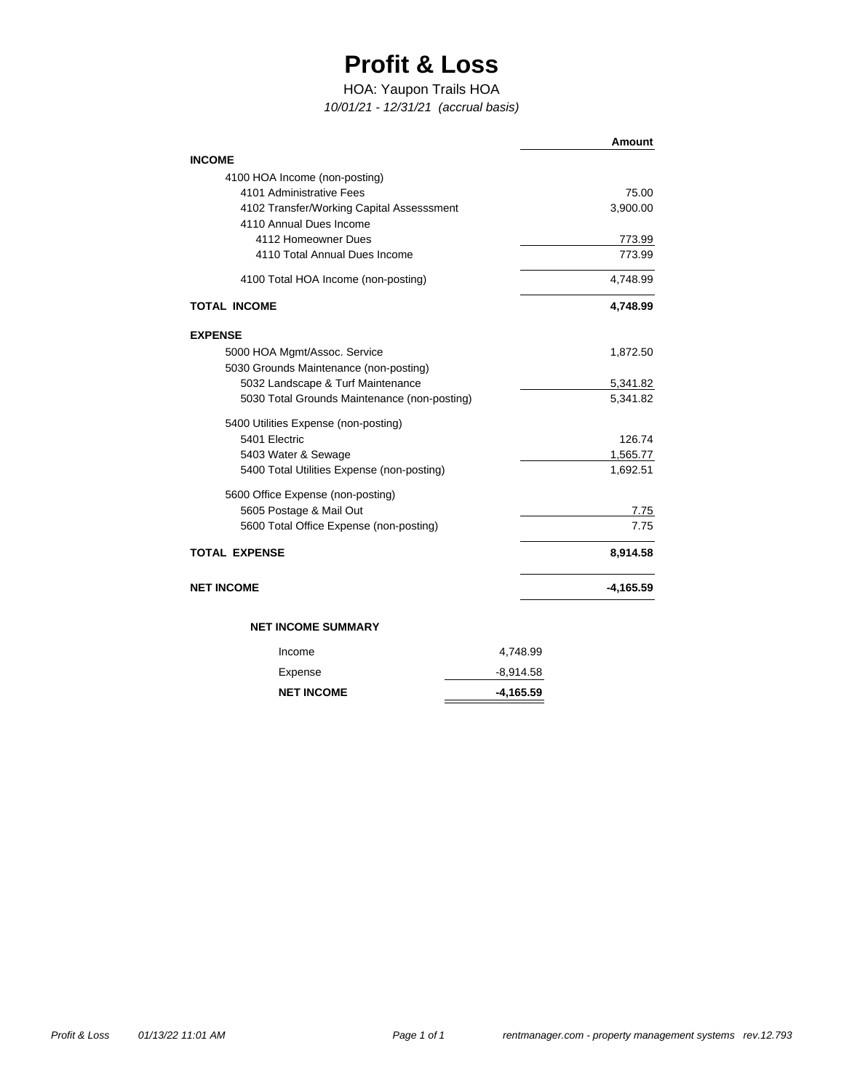## **Profit & Loss**

### HOA: Yaupon Trails HOA

*10/01/21 - 12/31/21 (accrual basis)*

|                                                |             | <b>Amount</b>    |
|------------------------------------------------|-------------|------------------|
| <b>INCOME</b>                                  |             |                  |
| 4100 HOA Income (non-posting)                  |             |                  |
| 4101 Administrative Fees                       |             | 75.00            |
| 4102 Transfer/Working Capital Assesssment      |             | 3,900.00         |
| 4110 Annual Dues Income<br>4112 Homeowner Dues |             |                  |
| 4110 Total Annual Dues Income                  |             | 773.99<br>773.99 |
|                                                |             |                  |
| 4100 Total HOA Income (non-posting)            |             | 4,748.99         |
| <b>TOTAL INCOME</b>                            |             | 4,748.99         |
| <b>EXPENSE</b>                                 |             |                  |
| 5000 HOA Mgmt/Assoc. Service                   |             | 1,872.50         |
| 5030 Grounds Maintenance (non-posting)         |             |                  |
| 5032 Landscape & Turf Maintenance              |             | 5,341.82         |
| 5030 Total Grounds Maintenance (non-posting)   |             | 5,341.82         |
| 5400 Utilities Expense (non-posting)           |             |                  |
| 5401 Electric                                  |             | 126.74           |
| 5403 Water & Sewage                            |             | 1,565.77         |
| 5400 Total Utilities Expense (non-posting)     |             | 1,692.51         |
| 5600 Office Expense (non-posting)              |             |                  |
| 5605 Postage & Mail Out                        |             | 7.75             |
| 5600 Total Office Expense (non-posting)        |             | 7.75             |
| <b>TOTAL EXPENSE</b>                           |             | 8,914.58         |
| <b>NET INCOME</b>                              |             | $-4,165.59$      |
| <b>NET INCOME SUMMARY</b>                      |             |                  |
| Income                                         | 4,748.99    |                  |
| Expense                                        | $-8,914.58$ |                  |

**NET INCOME**

**-4,165.59**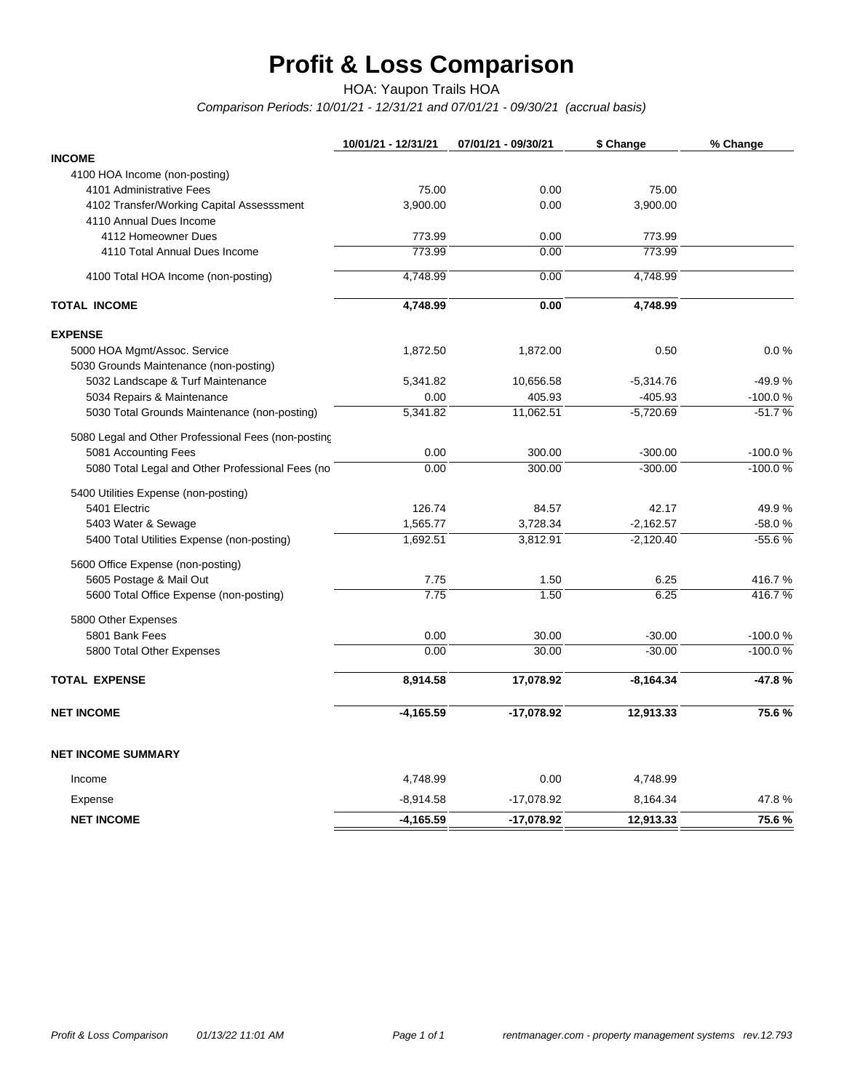# **Profit & Loss Comparison**

HOA: Yaupon Trails HOA

*Comparison Periods: 10/01/21 - 12/31/21 and 07/01/21 - 09/30/21 (accrual basis)*

|                                                      | 10/01/21 - 12/31/21 | 07/01/21 - 09/30/21 | \$ Change        | % Change  |
|------------------------------------------------------|---------------------|---------------------|------------------|-----------|
| <b>INCOME</b>                                        |                     |                     |                  |           |
| 4100 HOA Income (non-posting)                        |                     |                     |                  |           |
| 4101 Administrative Fees                             | 75.00               | 0.00                | 75.00            |           |
| 4102 Transfer/Working Capital Assesssment            | 3,900.00            | 0.00                | 3.900.00         |           |
| 4110 Annual Dues Income                              |                     |                     |                  |           |
| 4112 Homeowner Dues<br>4110 Total Annual Dues Income | 773.99<br>773.99    | 0.00<br>0.00        | 773.99<br>773.99 |           |
|                                                      |                     |                     |                  |           |
| 4100 Total HOA Income (non-posting)                  | 4,748.99            | 0.00                | 4,748.99         |           |
| <b>TOTAL INCOME</b>                                  | 4,748.99            | 0.00                | 4,748.99         |           |
| <b>EXPENSE</b>                                       |                     |                     |                  |           |
| 5000 HOA Mgmt/Assoc. Service                         | 1,872.50            | 1,872.00            | 0.50             | 0.0%      |
| 5030 Grounds Maintenance (non-posting)               |                     |                     |                  |           |
| 5032 Landscape & Turf Maintenance                    | 5,341.82            | 10,656.58           | $-5,314.76$      | $-49.9%$  |
| 5034 Repairs & Maintenance                           | 0.00                | 405.93              | $-405.93$        | $-100.0%$ |
| 5030 Total Grounds Maintenance (non-posting)         | 5,341.82            | 11,062.51           | $-5,720.69$      | $-51.7%$  |
| 5080 Legal and Other Professional Fees (non-posting  |                     |                     |                  |           |
| 5081 Accounting Fees                                 | 0.00                | 300.00              | $-300.00$        | $-100.0%$ |
| 5080 Total Legal and Other Professional Fees (no     | 0.00                | 300.00              | $-300.00$        | $-100.0%$ |
| 5400 Utilities Expense (non-posting)                 |                     |                     |                  |           |
| 5401 Electric                                        | 126.74              | 84.57               | 42.17            | 49.9%     |
| 5403 Water & Sewage                                  | 1,565.77            | 3,728.34            | $-2,162.57$      | $-58.0%$  |
| 5400 Total Utilities Expense (non-posting)           | 1,692.51            | 3,812.91            | $-2,120.40$      | $-55.6%$  |
| 5600 Office Expense (non-posting)                    |                     |                     |                  |           |
| 5605 Postage & Mail Out                              | 7.75                | 1.50                | 6.25             | 416.7%    |
| 5600 Total Office Expense (non-posting)              | 7.75                | 1.50                | 6.25             | 416.7%    |
| 5800 Other Expenses                                  |                     |                     |                  |           |
| 5801 Bank Fees                                       | 0.00                | 30.00               | $-30.00$         | $-100.0%$ |
| 5800 Total Other Expenses                            | 0.00                | 30.00               | $-30.00$         | $-100.0%$ |
| <b>TOTAL EXPENSE</b>                                 | 8,914.58            | 17,078.92           | $-8,164.34$      | $-47.8%$  |
| <b>NET INCOME</b>                                    | $-4,165.59$         | $-17,078.92$        | 12,913.33        | 75.6%     |
| <b>NET INCOME SUMMARY</b>                            |                     |                     |                  |           |
| Income                                               | 4,748.99            | 0.00                | 4,748.99         |           |
| Expense                                              | $-8,914.58$         | -17,078.92          | 8,164.34         | 47.8%     |
| <b>NET INCOME</b>                                    | $-4,165.59$         | $-17,078.92$        | 12,913.33        | 75.6%     |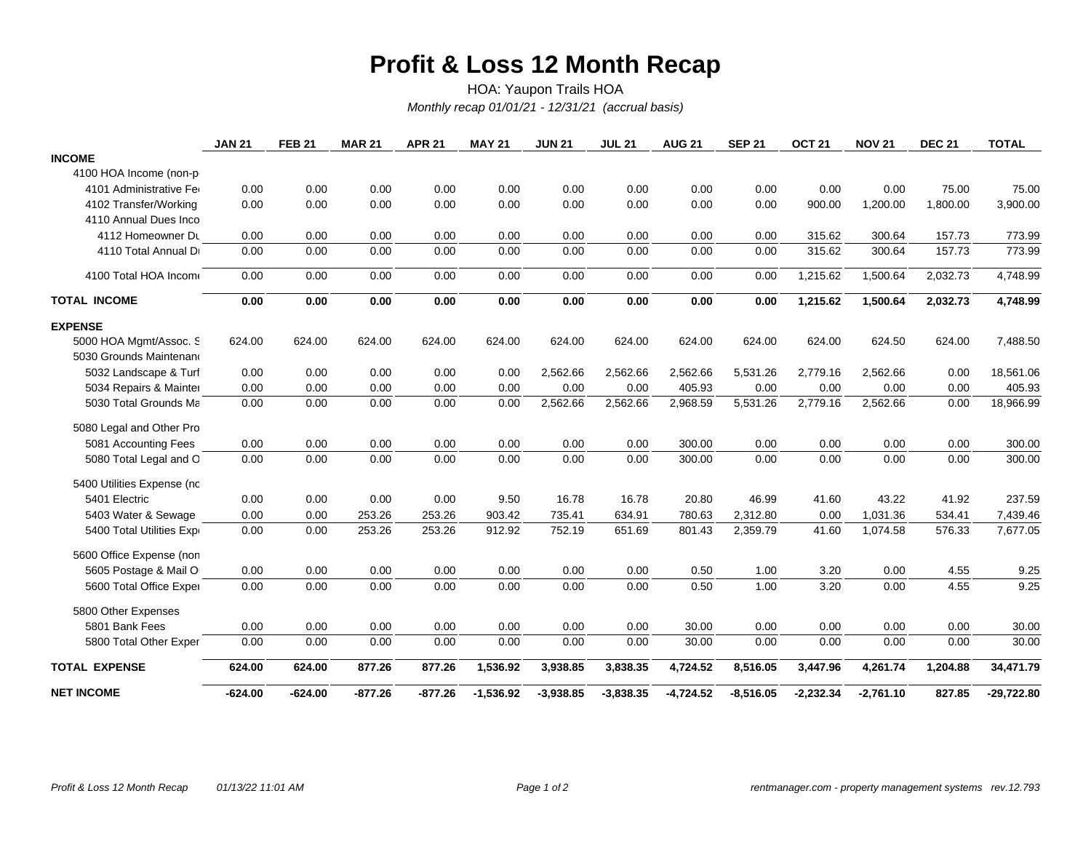### **Profit & Loss 12 Month Recap**

*Monthly recap 01/01/21 - 12/31/21 (accrual basis)* HOA: Yaupon Trails HOA

|                            | <b>JAN 21</b> | <b>FEB 21</b> | <b>MAR 21</b> | <b>APR 21</b> | <b>MAY 21</b> | <b>JUN 21</b> | <b>JUL 21</b> | <b>AUG 21</b> | <b>SEP 21</b> | OCT <sub>21</sub> | <b>NOV 21</b> | <b>DEC 21</b> | <b>TOTAL</b> |
|----------------------------|---------------|---------------|---------------|---------------|---------------|---------------|---------------|---------------|---------------|-------------------|---------------|---------------|--------------|
| <b>INCOME</b>              |               |               |               |               |               |               |               |               |               |                   |               |               |              |
| 4100 HOA Income (non-p     |               |               |               |               |               |               |               |               |               |                   |               |               |              |
| 4101 Administrative Fer    | 0.00          | 0.00          | 0.00          | 0.00          | 0.00          | 0.00          | 0.00          | 0.00          | 0.00          | 0.00              | 0.00          | 75.00         | 75.00        |
| 4102 Transfer/Working      | 0.00          | 0.00          | 0.00          | 0.00          | 0.00          | 0.00          | 0.00          | 0.00          | 0.00          | 900.00            | 1,200.00      | 1,800.00      | 3,900.00     |
| 4110 Annual Dues Inco      |               |               |               |               |               |               |               |               |               |                   |               |               |              |
| 4112 Homeowner Du          | 0.00          | 0.00          | 0.00          | 0.00          | 0.00          | 0.00          | 0.00          | 0.00          | 0.00          | 315.62            | 300.64        | 157.73        | 773.99       |
| 4110 Total Annual Dr       | 0.00          | 0.00          | 0.00          | 0.00          | 0.00          | 0.00          | 0.00          | 0.00          | 0.00          | 315.62            | 300.64        | 157.73        | 773.99       |
| 4100 Total HOA Income      | 0.00          | 0.00          | 0.00          | 0.00          | 0.00          | 0.00          | 0.00          | 0.00          | 0.00          | 1,215.62          | 1,500.64      | 2,032.73      | 4,748.99     |
| <b>TOTAL INCOME</b>        | 0.00          | 0.00          | 0.00          | 0.00          | 0.00          | 0.00          | 0.00          | 0.00          | 0.00          | 1,215.62          | 1,500.64      | 2,032.73      | 4,748.99     |
| <b>EXPENSE</b>             |               |               |               |               |               |               |               |               |               |                   |               |               |              |
| 5000 HOA Mgmt/Assoc. S     | 624.00        | 624.00        | 624.00        | 624.00        | 624.00        | 624.00        | 624.00        | 624.00        | 624.00        | 624.00            | 624.50        | 624.00        | 7,488.50     |
| 5030 Grounds Maintenano    |               |               |               |               |               |               |               |               |               |                   |               |               |              |
| 5032 Landscape & Turf      | 0.00          | 0.00          | 0.00          | 0.00          | 0.00          | 2,562.66      | 2,562.66      | 2,562.66      | 5,531.26      | 2,779.16          | 2,562.66      | 0.00          | 18,561.06    |
| 5034 Repairs & Mainter     | 0.00          | 0.00          | 0.00          | 0.00          | 0.00          | 0.00          | 0.00          | 405.93        | 0.00          | 0.00              | 0.00          | 0.00          | 405.93       |
| 5030 Total Grounds Ma      | 0.00          | 0.00          | 0.00          | 0.00          | 0.00          | 2,562.66      | 2,562.66      | 2,968.59      | 5,531.26      | 2,779.16          | 2,562.66      | 0.00          | 18,966.99    |
| 5080 Legal and Other Pro   |               |               |               |               |               |               |               |               |               |                   |               |               |              |
| 5081 Accounting Fees       | 0.00          | 0.00          | 0.00          | 0.00          | 0.00          | 0.00          | 0.00          | 300.00        | 0.00          | 0.00              | 0.00          | 0.00          | 300.00       |
| 5080 Total Legal and O     | 0.00          | 0.00          | 0.00          | 0.00          | 0.00          | 0.00          | 0.00          | 300.00        | 0.00          | 0.00              | 0.00          | 0.00          | 300.00       |
| 5400 Utilities Expense (nc |               |               |               |               |               |               |               |               |               |                   |               |               |              |
| 5401 Electric              | 0.00          | 0.00          | 0.00          | 0.00          | 9.50          | 16.78         | 16.78         | 20.80         | 46.99         | 41.60             | 43.22         | 41.92         | 237.59       |
| 5403 Water & Sewage        | 0.00          | 0.00          | 253.26        | 253.26        | 903.42        | 735.41        | 634.91        | 780.63        | 2,312.80      | 0.00              | 1,031.36      | 534.41        | 7,439.46     |
| 5400 Total Utilities Expr  | 0.00          | 0.00          | 253.26        | 253.26        | 912.92        | 752.19        | 651.69        | 801.43        | 2,359.79      | 41.60             | 1,074.58      | 576.33        | 7,677.05     |
| 5600 Office Expense (non   |               |               |               |               |               |               |               |               |               |                   |               |               |              |
| 5605 Postage & Mail O      | 0.00          | 0.00          | 0.00          | 0.00          | 0.00          | 0.00          | 0.00          | 0.50          | 1.00          | 3.20              | 0.00          | 4.55          | 9.25         |
| 5600 Total Office Exper    | 0.00          | 0.00          | 0.00          | 0.00          | 0.00          | 0.00          | 0.00          | 0.50          | 1.00          | 3.20              | 0.00          | 4.55          | 9.25         |
| 5800 Other Expenses        |               |               |               |               |               |               |               |               |               |                   |               |               |              |
| 5801 Bank Fees             | 0.00          | 0.00          | 0.00          | 0.00          | 0.00          | 0.00          | 0.00          | 30.00         | 0.00          | 0.00              | 0.00          | 0.00          | 30.00        |
| 5800 Total Other Exper     | 0.00          | 0.00          | 0.00          | 0.00          | 0.00          | 0.00          | 0.00          | 30.00         | 0.00          | 0.00              | 0.00          | 0.00          | 30.00        |
| <b>TOTAL EXPENSE</b>       | 624.00        | 624.00        | 877.26        | 877.26        | 1,536.92      | 3,938.85      | 3,838.35      | 4,724.52      | 8,516.05      | 3,447.96          | 4,261.74      | 1,204.88      | 34,471.79    |
| <b>NET INCOME</b>          | $-624.00$     | $-624.00$     | $-877.26$     | $-877.26$     | $-1,536.92$   | $-3,938.85$   | $-3,838.35$   | $-4,724.52$   | $-8,516.05$   | $-2,232.34$       | $-2,761.10$   | 827.85        | $-29,722.80$ |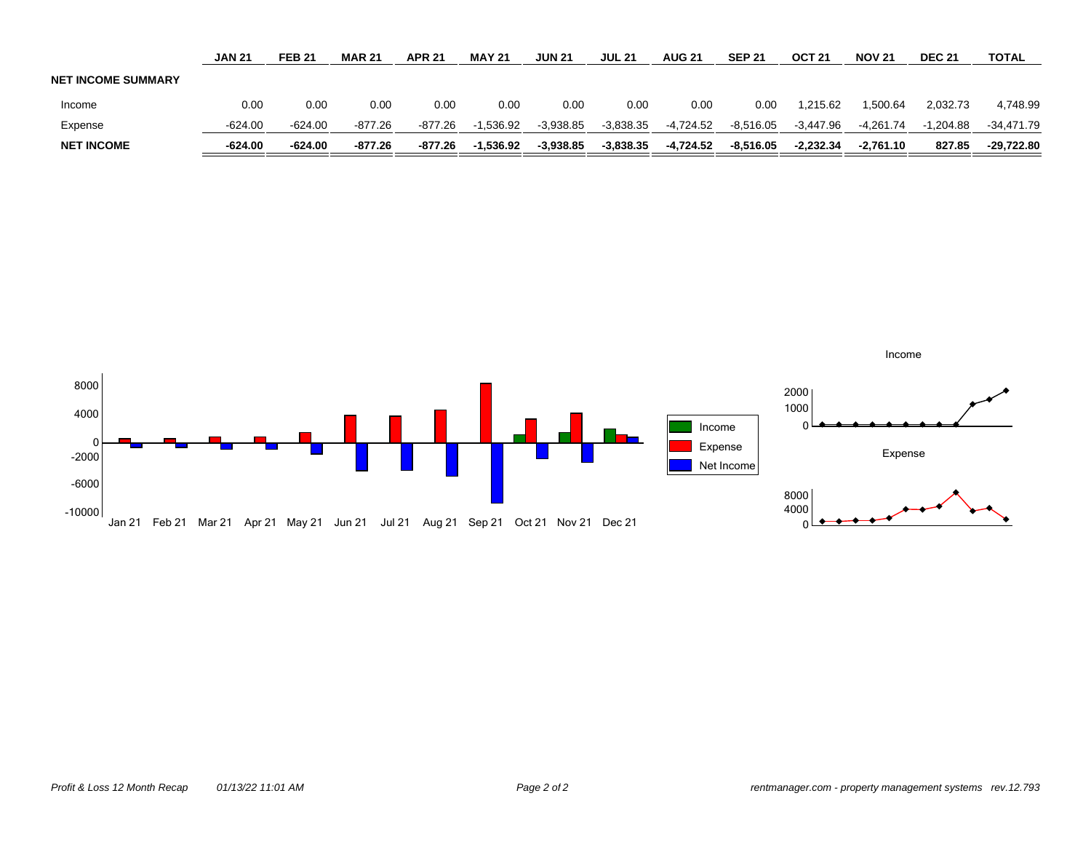|                           | <b>JAN 21</b> | <b>FEB 21</b> | <b>MAR 21</b> | <b>APR 21</b> | <b>MAY 21</b> | <b>JUN 21</b> | <b>JUL 21</b> | <b>AUG 21</b> | <b>SEP 21</b> | OCT <sub>21</sub> | <b>NOV 21</b> | <b>DEC 21</b> | TOTAL        |
|---------------------------|---------------|---------------|---------------|---------------|---------------|---------------|---------------|---------------|---------------|-------------------|---------------|---------------|--------------|
| <b>NET INCOME SUMMARY</b> |               |               |               |               |               |               |               |               |               |                   |               |               |              |
| Income                    | 0.00          | 0.00          | 0.00          | 0.00          | 0.00          | 0.00          | 0.00          | 0.00          | 0.00          | 1.215.62          | .500.64       | 2.032.73      | 4,748.99     |
| Expense                   | $-624.00$     | $-624.00$     | -877.26       | $-877.26$     | $-1.536.92$   | $-3,938.85$   | $-3,838.35$   | -4,724.52     | $-8,516.05$   | $-3.447.96$       | $-4.261.74$   | $-1.204.88$   | $-34.471.79$ |
| <b>NET INCOME</b>         | $-624.00$     | $-624.00$     | $-877.26$     | $-877.26$     | $-1.536.92$   | $-3,938.85$   | $-3,838.35$   | -4,724.52     | $-8.516.05$   | $-2.232.34$       | $-2.761.10$   | 827.85        | $-29.722.80$ |

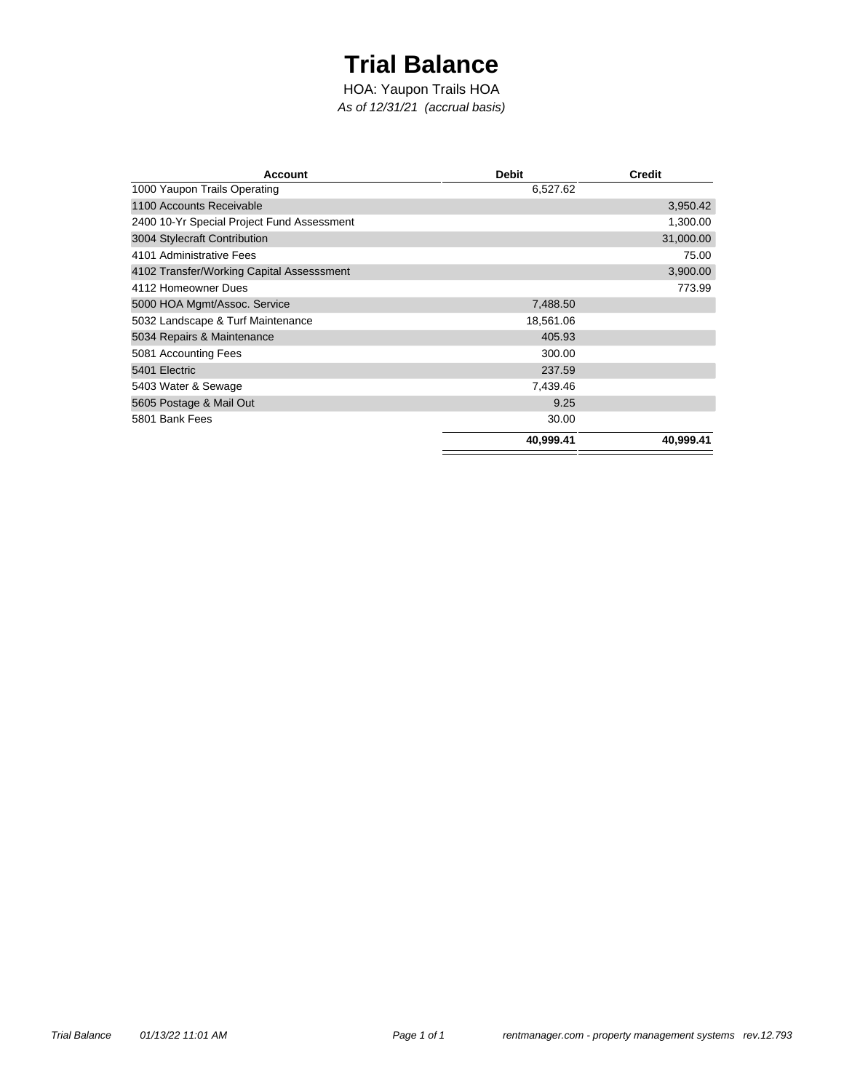## **Trial Balance**

*As of 12/31/21 (accrual basis)* HOA: Yaupon Trails HOA

| <b>Account</b>                             | <b>Debit</b> | <b>Credit</b> |
|--------------------------------------------|--------------|---------------|
| 1000 Yaupon Trails Operating               | 6,527.62     |               |
| 1100 Accounts Receivable                   |              | 3,950.42      |
| 2400 10-Yr Special Project Fund Assessment |              | 1,300.00      |
| 3004 Stylecraft Contribution               |              | 31,000.00     |
| 4101 Administrative Fees                   |              | 75.00         |
| 4102 Transfer/Working Capital Assesssment  |              | 3,900.00      |
| 4112 Homeowner Dues                        |              | 773.99        |
| 5000 HOA Mgmt/Assoc. Service               | 7,488.50     |               |
| 5032 Landscape & Turf Maintenance          | 18,561.06    |               |
| 5034 Repairs & Maintenance                 | 405.93       |               |
| 5081 Accounting Fees                       | 300.00       |               |
| 5401 Electric                              | 237.59       |               |
| 5403 Water & Sewage                        | 7,439.46     |               |
| 5605 Postage & Mail Out                    | 9.25         |               |
| 5801 Bank Fees                             | 30.00        |               |
|                                            | 40,999.41    | 40,999.41     |